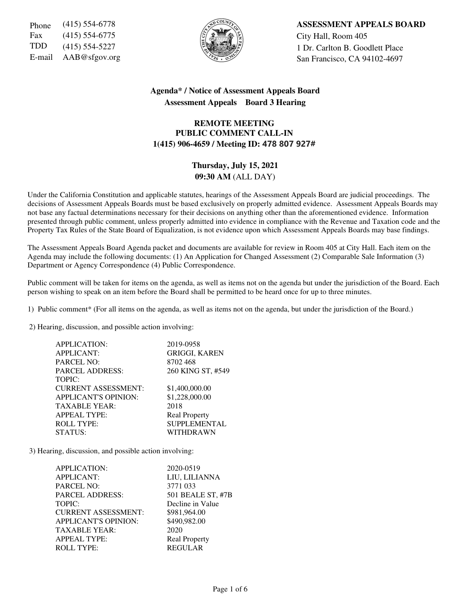Fax (415) 554-6775  $\left|\frac{5}{6}\right|$   $\left|\frac{1}{2}\right|$  City Hall, Room 405



Phone (415) 554-6778 **ASSESSMENT APPEALS BOARD** TDD  $(415)$  554-5227  $\left\{\begin{matrix} \sqrt[3]{} \\ \sqrt[3]{2} \end{matrix}\right\}$  1 Dr. Carlton B. Goodlett Place E-mail  $AAB@sfgov.org$  San Francisco, CA 94102-4697

## **Agenda\* / Notice of Assessment Appeals Board Assessment Appeals Board 3 Hearing**

## **REMOTE MEETING PUBLIC COMMENT CALL-IN 1(415) 906-4659 / Meeting ID:** 478 807 927#

# **Thursday, July 15, 2021 09:30 AM** (ALL DAY)

Under the California Constitution and applicable statutes, hearings of the Assessment Appeals Board are judicial proceedings. The decisions of Assessment Appeals Boards must be based exclusively on properly admitted evidence. Assessment Appeals Boards may not base any factual determinations necessary for their decisions on anything other than the aforementioned evidence. Information presented through public comment, unless properly admitted into evidence in compliance with the Revenue and Taxation code and the Property Tax Rules of the State Board of Equalization, is not evidence upon which Assessment Appeals Boards may base findings.

The Assessment Appeals Board Agenda packet and documents are available for review in Room 405 at City Hall. Each item on the Agenda may include the following documents: (1) An Application for Changed Assessment (2) Comparable Sale Information (3) Department or Agency Correspondence (4) Public Correspondence.

Public comment will be taken for items on the agenda, as well as items not on the agenda but under the jurisdiction of the Board. Each person wishing to speak on an item before the Board shall be permitted to be heard once for up to three minutes.

1) Public comment\* (For all items on the agenda, as well as items not on the agenda, but under the jurisdiction of the Board.)

2) Hearing, discussion, and possible action involving:

| 2019-0958            |
|----------------------|
| <b>GRIGGI, KAREN</b> |
| 8702468              |
| 260 KING ST, #549    |
|                      |
| \$1,400,000.00       |
| \$1,228,000.00       |
| 2018                 |
| <b>Real Property</b> |
| <b>SUPPLEMENTAL</b>  |
| WITHDRAWN            |
|                      |

3) Hearing, discussion, and possible action involving:

| APPLICATION:                | 2020-0519            |
|-----------------------------|----------------------|
| <b>APPLICANT:</b>           | LIU, LILIANNA        |
| <b>PARCEL NO:</b>           | 3771 033             |
| <b>PARCEL ADDRESS:</b>      | 501 BEALE ST, #7B    |
| TOPIC:                      | Decline in Value     |
| <b>CURRENT ASSESSMENT:</b>  | \$981,964.00         |
| <b>APPLICANT'S OPINION:</b> | \$490,982.00         |
| <b>TAXABLE YEAR:</b>        | 2020                 |
| <b>APPEAL TYPE:</b>         | <b>Real Property</b> |
| <b>ROLL TYPE:</b>           | <b>REGULAR</b>       |
|                             |                      |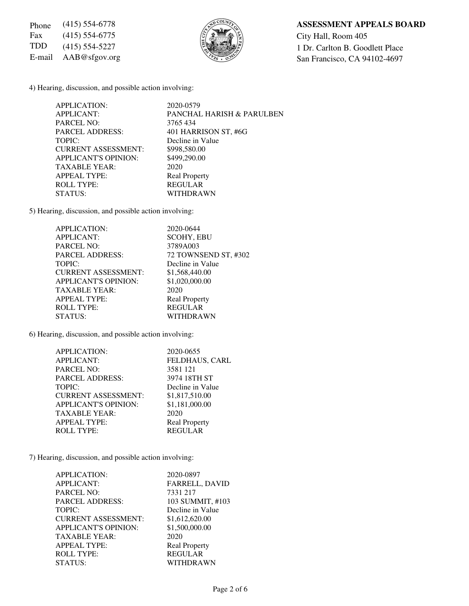Fax (415) 554-6775  $\left(\frac{5}{6}\right)\left(\frac{1}{6}\right)$   $\left(\frac{1}{6}\right)\left(\frac{1}{6}\right)$  City Hall, Room 405



## Phone (415) 554-6778 **ASSESSMENT APPEALS BOARD**

TDD (415) 554-5227  $\begin{matrix} \begin{matrix} 2 & 3 \end{matrix} & \begin{matrix} 3 & 2 \end{matrix} & \begin{matrix} 4 & 5 \end{matrix} & \begin{matrix} 5 & 4 \end{matrix} & \begin{matrix} 5 & 4 \end{matrix} & \begin{matrix} 5 & 4 \end{matrix} & \begin{matrix} 5 & 4 \end{matrix} & \begin{matrix} 5 & 4 \end{matrix} & \begin{matrix} 5 & 4 \end{matrix} & \begin{matrix} 5 & 4 \end{matrix} & \begin{matrix} 5 & 4 \end{matrix} & \begin{matrix} 5 & 4 \end{matrix} & \begin{matrix$ E-mail AAB@sfgov.org San Francisco, CA 94102-4697

4) Hearing, discussion, and possible action involving:

| APPLICATION:                | 2020-0579                            |
|-----------------------------|--------------------------------------|
| <b>APPLICANT:</b>           | <b>PANCHAL HARISH &amp; PARULBEN</b> |
| PARCEL NO:                  | 3765434                              |
| <b>PARCEL ADDRESS:</b>      | 401 HARRISON ST, #6G                 |
| TOPIC:                      | Decline in Value                     |
| <b>CURRENT ASSESSMENT:</b>  | \$998,580.00                         |
| <b>APPLICANT'S OPINION:</b> | \$499,290.00                         |
| <b>TAXABLE YEAR:</b>        | 2020                                 |
| <b>APPEAL TYPE:</b>         | <b>Real Property</b>                 |
| <b>ROLL TYPE:</b>           | <b>REGULAR</b>                       |
| STATUS:                     | WITHDRAWN                            |

5) Hearing, discussion, and possible action involving:

| APPLICATION:                | 2020-0644            |
|-----------------------------|----------------------|
| <b>APPLICANT:</b>           | <b>SCOHY, EBU</b>    |
| <b>PARCEL NO:</b>           | 3789A003             |
| <b>PARCEL ADDRESS:</b>      | 72 TOWNSEND ST, #302 |
| TOPIC:                      | Decline in Value     |
| <b>CURRENT ASSESSMENT:</b>  | \$1,568,440.00       |
| <b>APPLICANT'S OPINION:</b> | \$1,020,000.00       |
| <b>TAXABLE YEAR:</b>        | 2020                 |
| <b>APPEAL TYPE:</b>         | <b>Real Property</b> |
| <b>ROLL TYPE:</b>           | <b>REGULAR</b>       |
| STATUS:                     | WITHDRAWN            |

6) Hearing, discussion, and possible action involving:

| APPLICATION:                | 2020-0655             |
|-----------------------------|-----------------------|
| <b>APPLICANT:</b>           | <b>FELDHAUS, CARL</b> |
| <b>PARCEL NO:</b>           | 3581 121              |
| <b>PARCEL ADDRESS:</b>      | 3974 18TH ST          |
| TOPIC:                      | Decline in Value      |
| <b>CURRENT ASSESSMENT:</b>  | \$1,817,510.00        |
| <b>APPLICANT'S OPINION:</b> | \$1,181,000.00        |
| <b>TAXABLE YEAR:</b>        | 2020                  |
| <b>APPEAL TYPE:</b>         | <b>Real Property</b>  |
| <b>ROLL TYPE:</b>           | <b>REGULAR</b>        |

7) Hearing, discussion, and possible action involving:

| APPLICATION:                | 2020-0897            |
|-----------------------------|----------------------|
| <b>APPLICANT:</b>           | FARRELL, DAVID       |
| <b>PARCEL NO:</b>           | 7331 217             |
| <b>PARCEL ADDRESS:</b>      | 103 SUMMIT, #103     |
| TOPIC:                      | Decline in Value     |
| <b>CURRENT ASSESSMENT:</b>  | \$1,612,620.00       |
| <b>APPLICANT'S OPINION:</b> | \$1,500,000.00       |
| <b>TAXABLE YEAR:</b>        | 2020                 |
| <b>APPEAL TYPE:</b>         | <b>Real Property</b> |
| <b>ROLL TYPE:</b>           | <b>REGULAR</b>       |
| STATUS:                     | WITHDRAWN            |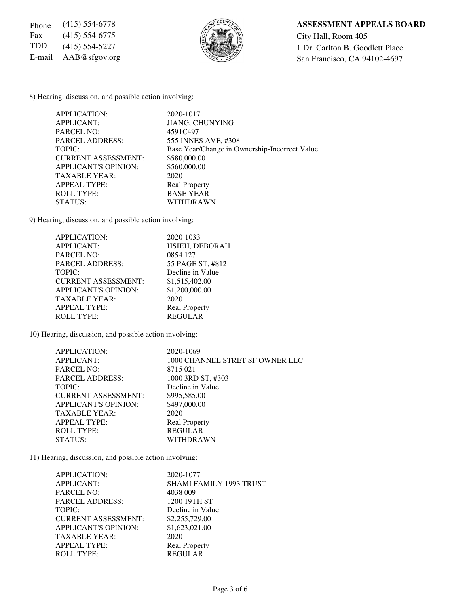Fax (415) 554-6775  $\left(\frac{5}{6}\right)\left(\frac{1}{6}\right)$   $\left(\frac{1}{6}\right)\left(\frac{1}{6}\right)$  City Hall, Room 405



## Phone (415) 554-6778 **ASSESSMENT APPEALS BOARD**

TDD (415) 554-5227  $\begin{matrix} 1 \end{matrix}$  Dr. Carlton B. Goodlett Place<br>E-mail AAB@sfgov.org San Francisco, CA 94102-4697 E-mail AAB@sfgov.org San Francisco, CA 94102-4697

8) Hearing, discussion, and possible action involving:

| APPLICATION:                | 2020-1017                                     |
|-----------------------------|-----------------------------------------------|
| <b>APPLICANT:</b>           | <b>JIANG, CHUNYING</b>                        |
| <b>PARCEL NO:</b>           | 4591C497                                      |
| <b>PARCEL ADDRESS:</b>      | 555 INNES AVE, #308                           |
| TOPIC:                      | Base Year/Change in Ownership-Incorrect Value |
| <b>CURRENT ASSESSMENT:</b>  | \$580,000.00                                  |
| <b>APPLICANT'S OPINION:</b> | \$560,000.00                                  |
| <b>TAXABLE YEAR:</b>        | 2020                                          |
| <b>APPEAL TYPE:</b>         | <b>Real Property</b>                          |
| <b>ROLL TYPE:</b>           | <b>BASE YEAR</b>                              |
| STATUS:                     | WITHDRAWN                                     |

9) Hearing, discussion, and possible action involving:

| APPLICATION:                | 2020-1033            |
|-----------------------------|----------------------|
| <b>APPLICANT:</b>           | HSIEH, DEBORAH       |
| <b>PARCEL NO:</b>           | 0854 127             |
| <b>PARCEL ADDRESS:</b>      | 55 PAGE ST, #812     |
| TOPIC:                      | Decline in Value     |
| <b>CURRENT ASSESSMENT:</b>  | \$1,515,402.00       |
| <b>APPLICANT'S OPINION:</b> | \$1,200,000.00       |
| <b>TAXABLE YEAR:</b>        | 2020                 |
| <b>APPEAL TYPE:</b>         | <b>Real Property</b> |
| <b>ROLL TYPE:</b>           | <b>REGULAR</b>       |

10) Hearing, discussion, and possible action involving:

| APPLICATION:                | 2020-1069                       |
|-----------------------------|---------------------------------|
| <b>APPLICANT:</b>           | 1000 CHANNEL STRET SF OWNER LLC |
| PARCEL NO:                  | 8715021                         |
| <b>PARCEL ADDRESS:</b>      | 1000 3RD ST, #303               |
| TOPIC:                      | Decline in Value                |
| <b>CURRENT ASSESSMENT:</b>  | \$995,585.00                    |
| <b>APPLICANT'S OPINION:</b> | \$497,000.00                    |
| <b>TAXABLE YEAR:</b>        | 2020                            |
| <b>APPEAL TYPE:</b>         | <b>Real Property</b>            |
| <b>ROLL TYPE:</b>           | <b>REGULAR</b>                  |
| STATUS:                     | <b>WITHDRAWN</b>                |
|                             |                                 |

11) Hearing, discussion, and possible action involving:

| APPLICATION:               | 2020-1077                      |
|----------------------------|--------------------------------|
| <b>APPLICANT:</b>          | <b>SHAMI FAMILY 1993 TRUST</b> |
| <b>PARCEL NO:</b>          | 4038 009                       |
| <b>PARCEL ADDRESS:</b>     | 1200 19TH ST                   |
| TOPIC:                     | Decline in Value               |
| <b>CURRENT ASSESSMENT:</b> | \$2,255,729.00                 |
| APPLICANT'S OPINION:       | \$1,623,021.00                 |
| <b>TAXABLE YEAR:</b>       | 2020                           |
| <b>APPEAL TYPE:</b>        | <b>Real Property</b>           |
| ROLL TYPE:                 | <b>REGULAR</b>                 |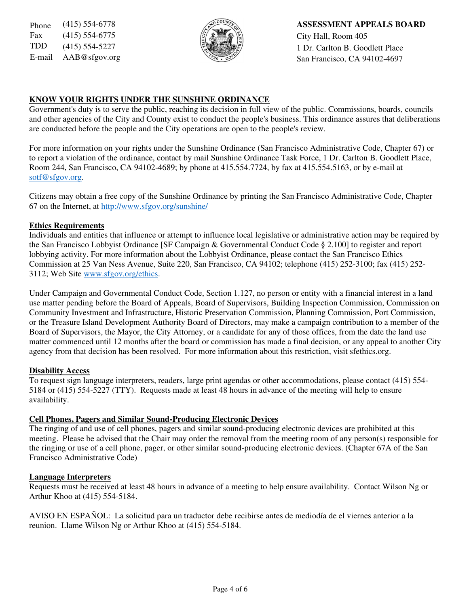Fax (415) 554-6775  $\left|\frac{5}{2}\right| \times \left|\frac{8}{2}\right|$  City Hall, Room 405



Phone (415) 554-6778 **ASSESSMENT APPEALS BOARD** TDD  $(415)$  554-5227  $\left\{\begin{matrix} \sqrt{2} & \sqrt{2} \\ \sqrt{2} & \sqrt{2} \end{matrix}\right\}$  1 Dr. Carlton B. Goodlett Place E-mail  $AAB@sfgov.org$  San Francisco, CA 94102-4697

## **KNOW YOUR RIGHTS UNDER THE SUNSHINE ORDINANCE**

Government's duty is to serve the public, reaching its decision in full view of the public. Commissions, boards, councils and other agencies of the City and County exist to conduct the people's business. This ordinance assures that deliberations are conducted before the people and the City operations are open to the people's review.

For more information on your rights under the Sunshine Ordinance (San Francisco Administrative Code, Chapter 67) or to report a violation of the ordinance, contact by mail Sunshine Ordinance Task Force, 1 Dr. Carlton B. Goodlett Place, Room 244, San Francisco, CA 94102-4689; by phone at 415.554.7724, by fax at 415.554.5163, or by e-mail at sotf@sfgov.org.

Citizens may obtain a free copy of the Sunshine Ordinance by printing the San Francisco Administrative Code, Chapter 67 on the Internet, at http://www.sfgov.org/sunshine/

### **Ethics Requirements**

Individuals and entities that influence or attempt to influence local legislative or administrative action may be required by the San Francisco Lobbyist Ordinance [SF Campaign & Governmental Conduct Code § 2.100] to register and report lobbying activity. For more information about the Lobbyist Ordinance, please contact the San Francisco Ethics Commission at 25 Van Ness Avenue, Suite 220, San Francisco, CA 94102; telephone (415) 252-3100; fax (415) 252- 3112; Web Site www.sfgov.org/ethics.

Under Campaign and Governmental Conduct Code, Section 1.127, no person or entity with a financial interest in a land use matter pending before the Board of Appeals, Board of Supervisors, Building Inspection Commission, Commission on Community Investment and Infrastructure, Historic Preservation Commission, Planning Commission, Port Commission, or the Treasure Island Development Authority Board of Directors, may make a campaign contribution to a member of the Board of Supervisors, the Mayor, the City Attorney, or a candidate for any of those offices, from the date the land use matter commenced until 12 months after the board or commission has made a final decision, or any appeal to another City agency from that decision has been resolved. For more information about this restriction, visit sfethics.org.

### **Disability Access**

To request sign language interpreters, readers, large print agendas or other accommodations, please contact (415) 554- 5184 or (415) 554-5227 (TTY). Requests made at least 48 hours in advance of the meeting will help to ensure availability.

### **Cell Phones, Pagers and Similar Sound-Producing Electronic Devices**

The ringing of and use of cell phones, pagers and similar sound-producing electronic devices are prohibited at this meeting. Please be advised that the Chair may order the removal from the meeting room of any person(s) responsible for the ringing or use of a cell phone, pager, or other similar sound-producing electronic devices. (Chapter 67A of the San Francisco Administrative Code)

#### **Language Interpreters**

Requests must be received at least 48 hours in advance of a meeting to help ensure availability. Contact Wilson Ng or Arthur Khoo at (415) 554-5184.

AVISO EN ESPAÑOL: La solicitud para un traductor debe recibirse antes de mediodía de el viernes anterior a la reunion. Llame Wilson Ng or Arthur Khoo at (415) 554-5184.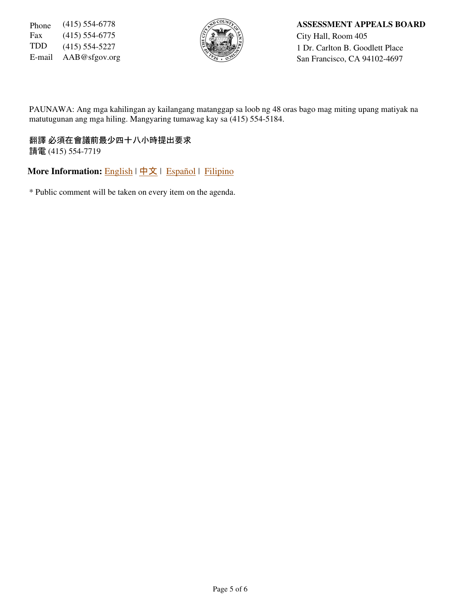Fax (415) 554-6775  $\left|\frac{5}{2}\right| \left|\frac{2}{2}\right|$  City Hall, Room 405



Phone (415) 554-6778 **ASSESSMENT APPEALS BOARD** TDD (415) 554-5227  $\left\{\begin{matrix} 2 & 3 \\ 4 & 5 \end{matrix}\right\}$  1 Dr. Carlton B. Goodlett Place E-mail AAB@sfgov.org San Francisco, CA 94102-4697

PAUNAWA: Ang mga kahilingan ay kailangang matanggap sa loob ng 48 oras bago mag miting upang matiyak na matutugunan ang mga hiling. Mangyaring tumawag kay sa (415) 554-5184.

翻譯 必須在會議前最少四十八小時提出要求 請電 (415) 554-7719

**More Information: English | 中文 | Español | Filipino** 

\* Public comment will be taken on every item on the agenda.